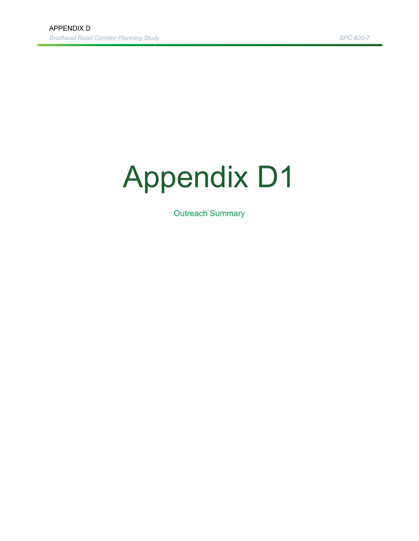# Appendix D1

Outreach Summary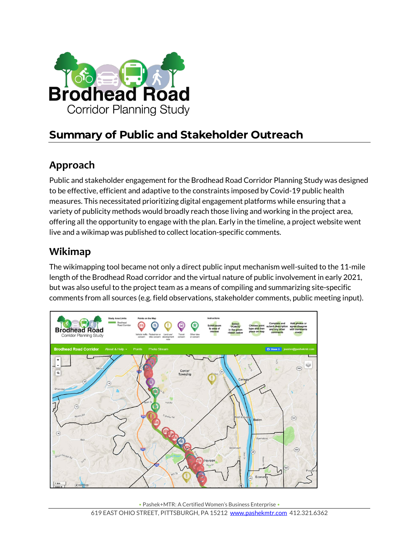

# **Summary of Public and Stakeholder Outreach**

## **Approach**

Public and stakeholder engagement for the Brodhead Road Corridor Planning Study was designed to be effective, efficient and adaptive to the constraints imposed by Covid-19 public health measures. This necessitated prioritizing digital engagement platforms while ensuring that a variety of publicity methods would broadly reach those living and working in the project area, offering all the opportunity to engage with the plan. Early in the timeline, a project website went live and a wikimap was published to collect location-specific comments.

#### **Wikimap**

The wikimapping tool became not only a direct public input mechanism well-suited to the 11-mile length of the Brodhead Road corridor and the virtual nature of public involvement in early 2021, but was also useful to the project team as a means of compiling and summarizing site-specific comments from all sources (e.g. field observations, stakeholder comments, public meeting input).



• Pashek+MTR: A Certified Women's Business Enterprise •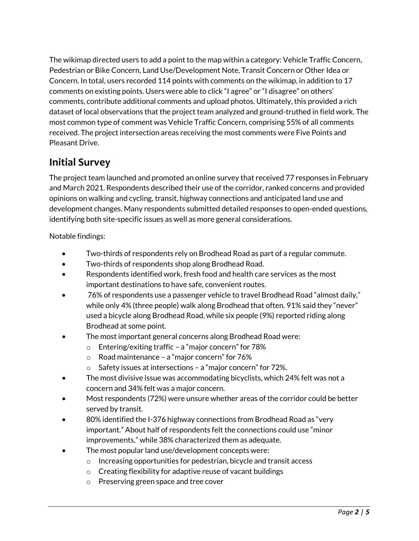The wikimap directed users to add a point to the map within a category: Vehicle Traffic Concern, Pedestrian or Bike Concern, Land Use/Development Note, Transit Concern or Other Idea or Concern. In total, users recorded 114 points with comments on the wikimap, in addition to 17 comments on existing points. Users were able to click "I agree" or "I disagree" on others' comments, contribute additional comments and upload photos. Ultimately, this provided a rich dataset of local observations that the project team analyzed and ground-truthed in field work. The most common type of comment was Vehicle Traffic Concern, comprising 55% of all comments received. The project intersection areas receiving the most comments were Five Points and Pleasant Drive.

#### **Initial Survey**

The project team launched and promoted an online survey that received 77 responses in February and March 2021. Respondents described their use of the corridor, ranked concerns and provided opinions on walking and cycling, transit, highway connections and anticipated land use and development changes. Many respondents submitted detailed responses to open-ended questions, identifying both site-specific issues as well as more general considerations.

Notable findings:

- Two-thirds of respondents rely on Brodhead Road as part of a regular commute.
- Two-thirds of respondents shop along Brodhead Road.
- Respondents identified work, fresh food and health care services as the most important destinations to have safe, convenient routes.
- 76% of respondents use a passenger vehicle to travel Brodhead Road "almost daily," while only 4% (three people) walk along Brodhead that often. 91% said they "never" used a bicycle along Brodhead Road, while six people (9%) reported riding along Brodhead at some point.
- The most important general concerns along Brodhead Road were:
	- o Entering/exiting traffic a "major concern" for 78%
	- o Road maintenance a "major concern" for 76%
	- o Safety issues at intersections a "major concern" for 72%.
- The most divisive issue was accommodating bicyclists, which 24% felt was not a concern and 34% felt was a major concern.
- Most respondents (72%) were unsure whether areas of the corridor could be better served by transit.
- 80% identified the I-376 highway connections from Brodhead Road as "very important." About half of respondents felt the connections could use "minor improvements," while 38% characterized them as adequate.
- The most popular land use/development concepts were:
	- o Increasing opportunities for pedestrian, bicycle and transit access
	- o Creating flexibility for adaptive reuse of vacant buildings
	- o Preserving green space and tree cover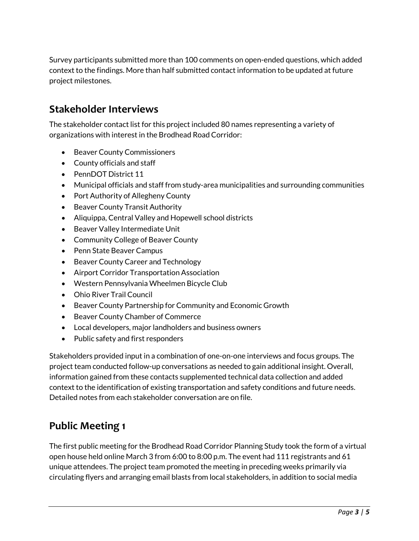Survey participants submitted more than 100 comments on open-ended questions, which added context to the findings. More than half submitted contact information to be updated at future project milestones.

#### **Stakeholder Interviews**

The stakeholder contact list for this project included 80 names representing a variety of organizations with interest in the Brodhead Road Corridor:

- Beaver County Commissioners
- County officials and staff
- PennDOT District 11
- Municipal officials and staff from study-area municipalities and surrounding communities
- Port Authority of Allegheny County
- Beaver County Transit Authority
- Aliquippa, Central Valley and Hopewell school districts
- Beaver Valley Intermediate Unit
- Community College of Beaver County
- Penn State Beaver Campus
- Beaver County Career and Technology
- Airport Corridor Transportation Association
- Western Pennsylvania Wheelmen Bicycle Club
- Ohio River Trail Council
- Beaver County Partnership for Community and Economic Growth
- Beaver County Chamber of Commerce
- Local developers, major landholders and business owners
- Public safety and first responders

Stakeholders provided input in a combination of one-on-one interviews and focus groups. The project team conducted follow-up conversations as needed to gain additional insight. Overall, information gained from these contacts supplemented technical data collection and added context to the identification of existing transportation and safety conditions and future needs. Detailed notes from each stakeholder conversation are on file.

### **Public Meeting 1**

The first public meeting for the Brodhead Road Corridor Planning Study took the form of a virtual open house held online March 3 from 6:00 to 8:00 p.m. The event had 111 registrants and 61 unique attendees. The project team promoted the meeting in preceding weeks primarily via circulating flyers and arranging email blasts from local stakeholders, in addition to social media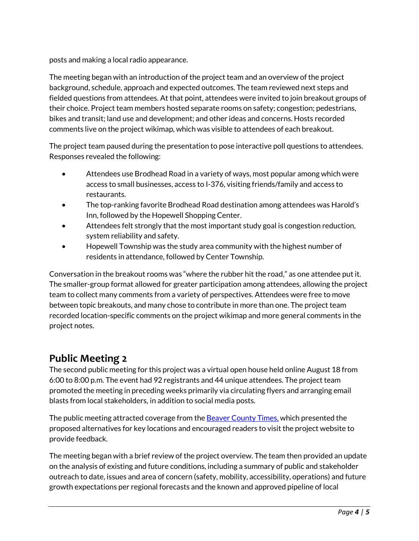posts and making a local radio appearance.

The meeting began with an introduction of the project team and an overview of the project background, schedule, approach and expected outcomes. The team reviewed next steps and fielded questions from attendees. At that point, attendees were invited to join breakout groups of their choice. Project team members hosted separate rooms on safety; congestion; pedestrians, bikes and transit; land use and development; and other ideas and concerns. Hosts recorded comments live on the project wikimap, which was visible to attendees of each breakout.

The project team paused during the presentation to pose interactive poll questions to attendees. Responses revealed the following:

- Attendees use Brodhead Road in a variety of ways, most popular among which were access to small businesses, access to I-376, visiting friends/family and access to restaurants.
- The top-ranking favorite Brodhead Road destination among attendees was Harold's Inn, followed by the Hopewell Shopping Center.
- Attendees felt strongly that the most important study goal is congestion reduction, system reliability and safety.
- Hopewell Township was the study area community with the highest number of residents in attendance, followed by Center Township.

Conversation in the breakout rooms was "where the rubber hit the road," as one attendee put it. The smaller-group format allowed for greater participation among attendees, allowing the project team to collect many comments from a variety of perspectives. Attendees were free to move between topic breakouts, and many chose to contribute in more than one. The project team recorded location-specific comments on the project wikimap and more general comments in the project notes.

#### **Public Meeting 2**

The second public meeting for this project was a virtual open house held online August 18 from 6:00 to 8:00 p.m. The event had 92 registrants and 44 unique attendees. The project team promoted the meeting in preceding weeks primarily via circulating flyers and arranging email blasts from local stakeholders, in addition to social media posts.

The public meeting attracted coverage from the [Beaver County Times,](https://www.timesonline.com/story/news/local/2021/08/23/brodhead-rd-study-suggests-potential-improvements/8211916002/) which presented the proposed alternatives for key locations and encouraged readers to visit the project website to provide feedback.

The meeting began with a brief review of the project overview. The team then provided an update on the analysis of existing and future conditions, including a summary of public and stakeholder outreach to date, issues and area of concern (safety, mobility, accessibility, operations) and future growth expectations per regional forecasts and the known and approved pipeline of local